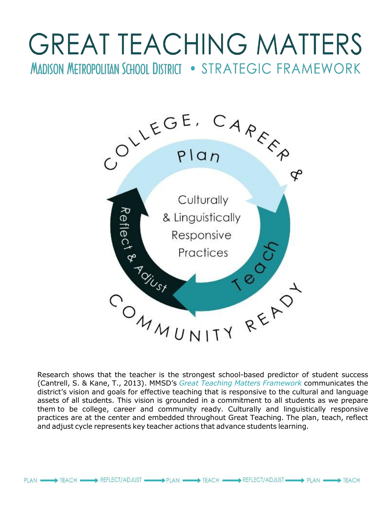# **GREAT TEACHING MATTERS MADISON METROPOLITAN SCHOOL DISTRICT . STRATEGIC FRAMEWORK**



Research shows that the teacher is the strongest school-based predictor of student success (Cantrell, S. & Kane, T., 2013). MMSD's *Great Teaching Matters Framework* communicates the district's vision and goals for effective teaching that is responsive to the cultural and language assets of all students. This vision is grounded in a commitment to all students as we prepare them to be college, career and community ready. Culturally and linguistically responsive practices are at the center and embedded throughout Great Teaching. The plan, teach, reflect and adjust cycle represents key teacher actions that advance students learning.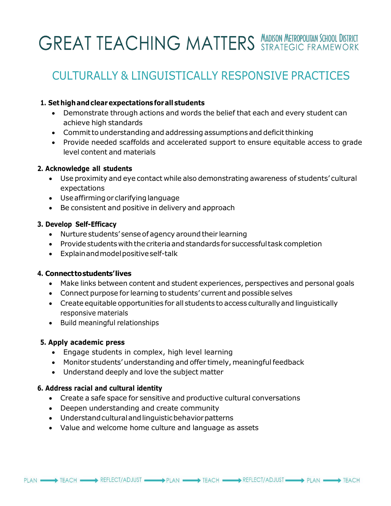## **GREAT TEACHING MATTERS MADISON METROPOLITAIN SCHOOL DISTRICT**

### CULTURALLY & LINGUISTICALLY RESPONSIVE PRACTICES

#### **1. Set highandclearexpectationsforall students**

- Demonstrate through actions and words the belief that each and every student can achieve high standards
- Commit to understanding and addressing assumptions and deficit thinking
- Provide needed scaffolds and accelerated support to ensure equitable access to grade level content and materials

#### **2. Acknowledge all students**

- Use proximity and eye contact while also demonstrating awareness of students' cultural expectations
- Use affirming or clarifying language
- Be consistent and positive in delivery and approach

#### **3. Develop Self-Efficacy**

- Nurture students' sense of agency around their learning
- Providestudents withthecriteriaandstandards for successfultaskcompletion
- Explainandmodelpositiveself-talk

#### **4. Connecttostudents'lives**

- Make links between content and student experiences, perspectives and personal goals
- Connect purpose for learning to students' current and possible selves
- Create equitable opportunities for all students to access culturallyand linguistically responsive materials
- Build meaningful relationships

#### **5. Apply academic press**

- Engage students in complex, high level learning
- Monitor students' understanding and offer timely, meaningful feedback
- Understand deeply and love the subject matter

#### **6. Address racial and cultural identity**

- Create a safe space for sensitive and productive cultural conversations
- Deepen understanding and create community
- Understandculturalandlinguisticbehaviorpatterns
- Value and welcome home culture and language as assets

PLAN - PLAN FEACH FEACH REFLECT/ADJUST - PLAN - PLAN TEACH PLAN REFLECT/ADJUST - PLAN - TEACH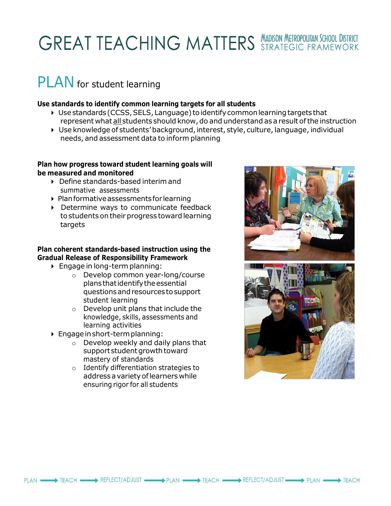## **GREAT TEACHING MATTERS MADISON METROPOLITAIN SCHOOL DISTRICT**

### PLAN for student learning

#### **Use standards to identify common learning targets for all students**

- $\triangleright$  Use standards (CCSS, SELS, Language) to identify common learning targets that represent what all students should know,do and understand as a result ofthe instruction
- Use knowledge of students' background, interest, style, culture, language, individual needs, and assessment data to inform planning

#### **Plan how progress toward student learning goals will be measured and monitored**

- ▶ Define standards-based interim and summative assessments
- Planformativeassessmentsfor learning
- Determine ways to communicate feedback to students on their progress toward learning targets

#### **Plan coherent standards-based instruction using the Gradual Release of Responsibility Framework**

- $\triangleright$  Engage in long-term planning:
	- o Develop common year-long/course plansthatidentifytheessential questionsandresourcestosupport student learning
	- o Develop unit plans that include the knowledge, skills, assessments and learning activities
- Engageinshort-termplanning:
	- $\circ$  Develop weekly and daily plans that support student growth toward mastery of standards
	- o Identify differentiation strategies to addressavarietyoflearners while ensuring rigor for all students



PLAN — > TEACH TEACH PLAN DUST TEACH TEACH TEACH PLAN PLAN REFLECT/ADJUST TEACH TEACH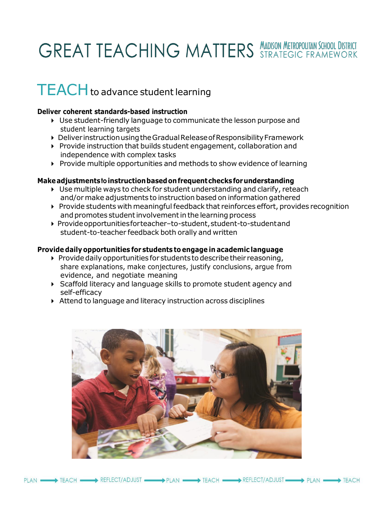### **GREAT TEACHING MATTERS MADISON METROPOLITAN SCHOOL DISTRICT**

### TEACH to advance student learning

#### **Deliver coherent standards-based instruction**

- Use student-friendly language to communicate the lesson purpose and student learning targets
- DeliverinstructionusingtheGradualReleaseofResponsibilityFramework
- Provide instruction that builds student engagement, collaboration and independence with complex tasks
- ▶ Provide multiple opportunities and methods to show evidence of learning

#### **Makeadjustmentstoinstructionbasedonfrequentchecksforunderstanding**

- Use multiple ways to check for student understanding and clarify, reteach and/ormake adjustments to instruction based on information gathered
- $\triangleright$  Provide students with meaningful feedback that reinforces effort, provides recognition and promotes student involvement in the learning process
- ▶ Provide opportunities for teacher-to-student, student-to-student and student-to-teacher feedback both orally and written

#### **Provide daily opportunities for students to engage in academic language**

- $\triangleright$  Provide daily opportunities for students to describe their reasoning, share explanations, make conjectures, justify conclusions, argue from evidence, and negotiate meaning
- Scaffold literacy and language skills to promote student agency and self-efficacy
- Attend to language and literacy instruction across disciplines